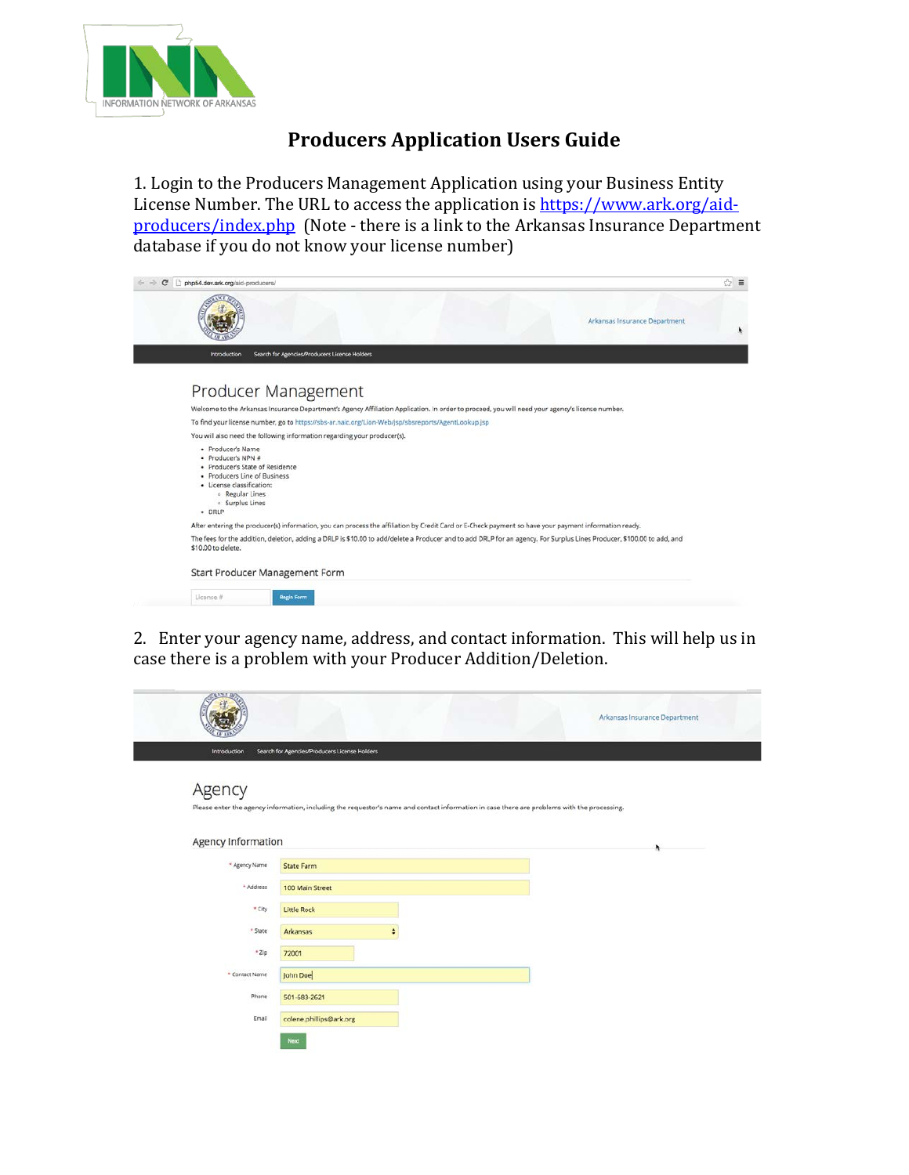

## **Producers Application Users Guide**

1. Login to the Producers Management Application using your Business Entity License Number. The URL to access the application is [https://www.ark.org/aid](https://www.ark.org/aid-producers/index.php)[producers/index.php](https://www.ark.org/aid-producers/index.php) (Note - there is a link to the Arkansas Insurance Department database if you do not know your license number)



2. Enter your agency name, address, and contact information. This will help us in case there is a problem with your Producer Addition/Deletion.

| <b>CEANE IN</b>    |                                                                                                                                             | Arkansas Insurance Department |
|--------------------|---------------------------------------------------------------------------------------------------------------------------------------------|-------------------------------|
| Introduction       | Search for Agencies/Producers License Holders                                                                                               |                               |
| Agency             | Please enter the agency information, including the requestor's name and contact information in case there are problems with the processing. |                               |
| Agency Information |                                                                                                                                             | k                             |
| * Agency Name      | <b>State Farm</b>                                                                                                                           |                               |
| + Address          | 100 Main Street                                                                                                                             |                               |
| * City             | <b>Little Rock</b>                                                                                                                          |                               |
| * State            | Arkansas<br>٠                                                                                                                               |                               |
| $+2ip$             | 72001                                                                                                                                       |                               |
| * Contact Name     | John Doe                                                                                                                                    |                               |
| Phone              | 501-683-2621                                                                                                                                |                               |
| Email              | colene.phillips@ark.org                                                                                                                     |                               |
|                    | <b>Next</b>                                                                                                                                 |                               |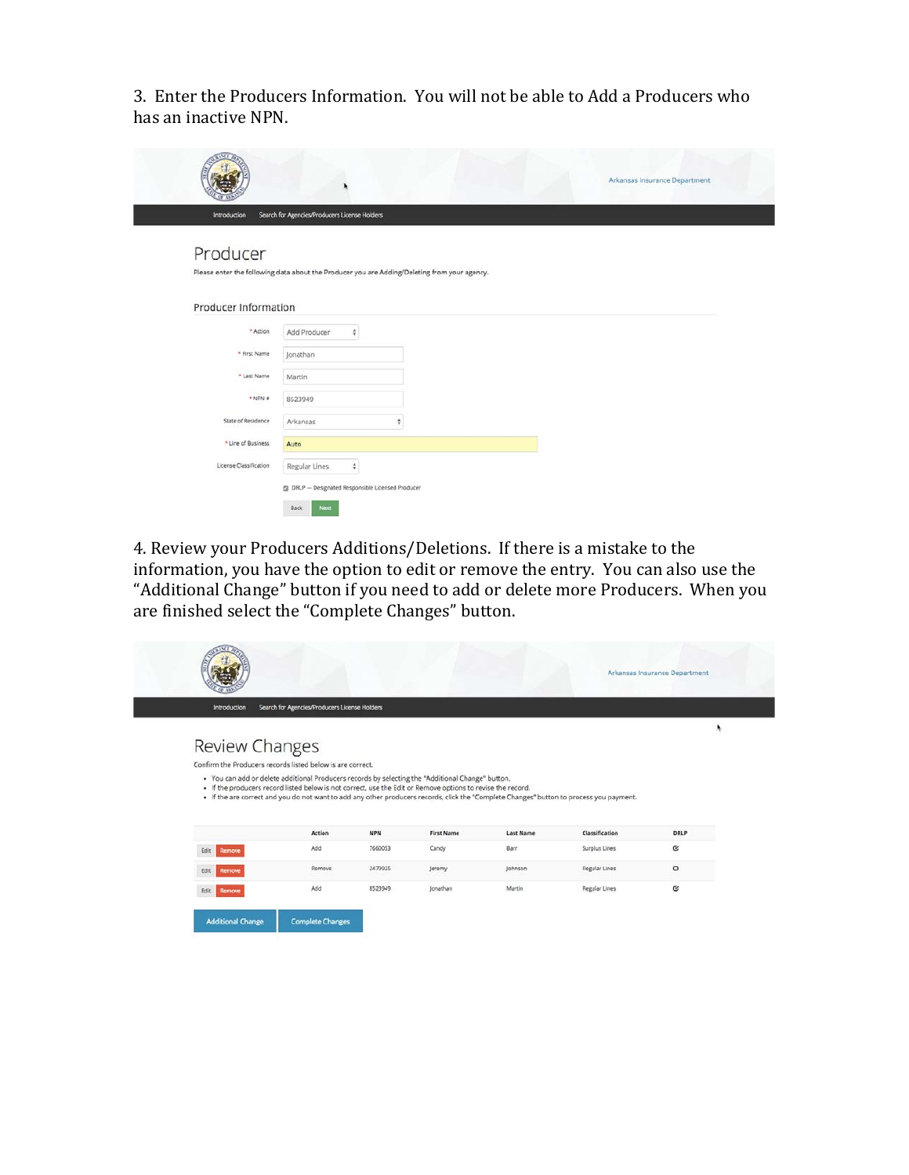3. Enter the Producers Information. You will not be able to Add a Producers who has an inactive NPN.

| Introduction           | Search for Agencies/Producers License Holders                                                | Arkansas Insurance Department |
|------------------------|----------------------------------------------------------------------------------------------|-------------------------------|
|                        |                                                                                              |                               |
| Producer               |                                                                                              |                               |
|                        | Please enter the following data about the Producer you are Adding/Deleting from your agency. |                               |
| Producer Information   |                                                                                              |                               |
| * Action               | Add Producer<br>¢                                                                            |                               |
| * First Name           | Jonathan                                                                                     |                               |
| * Last Name            | Martin                                                                                       |                               |
| $+$ NPN $\pi$          | 8523949                                                                                      |                               |
| State of Residence     | Arkansas<br>÷                                                                                |                               |
| * Line of Business     | Auto                                                                                         |                               |
|                        | Regular Lines<br>÷                                                                           |                               |
| License Classification |                                                                                              |                               |

4. Review your Producers Additions/Deletions. If there is a mistake to the information, you have the option to edit or remove the entry. You can also use the "Additional Change" button if you need to add or delete more Producers. When you are finished select the "Complete Changes" button.

| Introduction          | Search for Agencies/Producers License Holders                                                                                                                                                                                                                     |            |                   |                  |                |             |
|-----------------------|-------------------------------------------------------------------------------------------------------------------------------------------------------------------------------------------------------------------------------------------------------------------|------------|-------------------|------------------|----------------|-------------|
|                       |                                                                                                                                                                                                                                                                   |            |                   |                  |                | ۸           |
| <b>Review Changes</b> |                                                                                                                                                                                                                                                                   |            |                   |                  |                |             |
|                       |                                                                                                                                                                                                                                                                   |            |                   |                  |                |             |
|                       | Confirm the Producers records listed below is are correct.<br>. You can add or delete additional Producers records by selecting the "Additional Change" button.                                                                                                   |            |                   |                  |                |             |
|                       | . If the producers record listed below is not correct, use the Edit or Remove options to revise the record.<br>. If the are correct and you do not want to add any other producers records, click the "Complete Changes" button to process you payment.<br>Action | <b>NPN</b> | <b>First Name</b> | <b>Last Name</b> | Classification | <b>DRLP</b> |
| Edit<br>Remove        | Add                                                                                                                                                                                                                                                               | 7660053    | Candy             | Barr.            | Surplus Lines  | $\alpha$    |
| Edit<br>Remove        | Remove                                                                                                                                                                                                                                                            | 2479925    | Jeremy            | Johnson          | Regular Lines  | $\circ$     |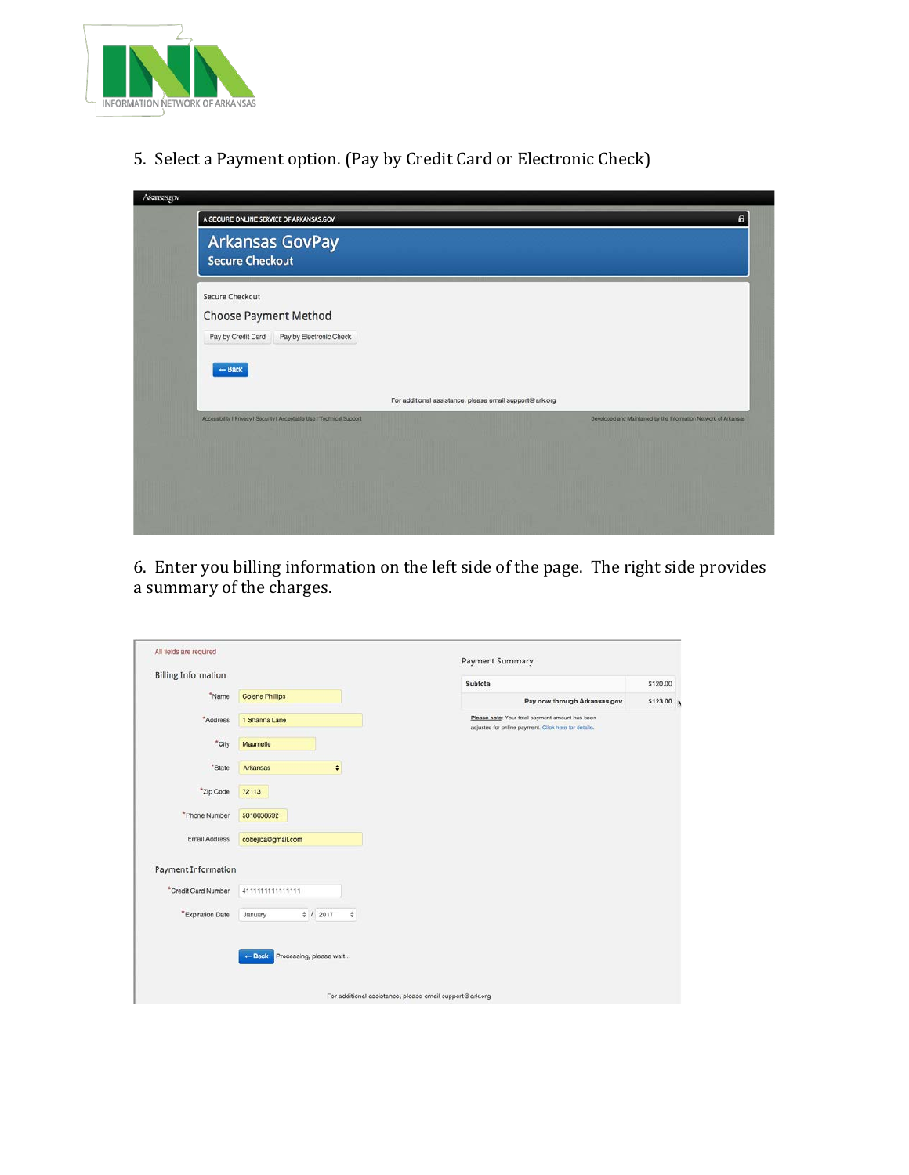

5. Select a Payment option. (Pay by Credit Card or Electronic Check)

| A SECURE ONLINE SERVICE OF ARKANSAS.GOV                                 |                                                                 |
|-------------------------------------------------------------------------|-----------------------------------------------------------------|
| <b>Arkansas GovPay</b><br><b>Secure Checkout</b>                        |                                                                 |
| Secure Checkout                                                         |                                                                 |
| Choose Payment Method                                                   |                                                                 |
| Pay by Credit Card<br>Pay by Electronic Check                           |                                                                 |
| $-$ Back                                                                |                                                                 |
|                                                                         | For additional assistance, please email support@ark.org         |
| Accessibility   Privacy   Security   Acceptable Use   Technical Support |                                                                 |
|                                                                         |                                                                 |
|                                                                         |                                                                 |
|                                                                         | Developed and Maintained by the Information Network of Arkansas |

6. Enter you billing information on the left side of the page. The right side provides a summary of the charges.

| All fields are required    |                                              |                                                         | Payment Summary                                                                                         |          |
|----------------------------|----------------------------------------------|---------------------------------------------------------|---------------------------------------------------------------------------------------------------------|----------|
| <b>Billing Information</b> |                                              |                                                         | Subtotal                                                                                                | \$120.00 |
| *Name                      | <b>Colene Phillips</b>                       |                                                         | Pay now through Arkansas.gov                                                                            | \$123.00 |
| "Address                   | 1 Shanna Lane                                |                                                         | Please note: Your total payment amount has been<br>adjusted for online payment. Click here for details. |          |
| *City                      | Maumelle                                     |                                                         |                                                                                                         |          |
| *State                     | Arkansas                                     | ٠                                                       |                                                                                                         |          |
| *Zip Code                  | 72113                                        |                                                         |                                                                                                         |          |
| *Phone Number              | 5018038692                                   |                                                         |                                                                                                         |          |
| Email Address              | cobejica@gmail.com                           |                                                         |                                                                                                         |          |
| Payment Information        |                                              |                                                         |                                                                                                         |          |
| *Credit Card Number        | 411111111111111                              |                                                         |                                                                                                         |          |
| "Expiration Date           | # 12017<br>January                           | ÷                                                       |                                                                                                         |          |
|                            | Processing, please wait<br>$\leftarrow$ Back |                                                         |                                                                                                         |          |
|                            |                                              | For additional assistance, please email support@ark.org |                                                                                                         |          |